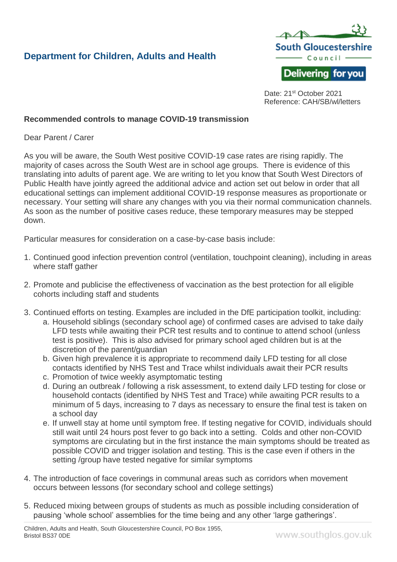## **Department for Children, Adults and Health**



Date: 21<sup>st</sup> October 2021 Reference: CAH/SB/wl/letters

## **Recommended controls to manage COVID-19 transmission**

Dear Parent / Carer

As you will be aware, the South West positive COVID-19 case rates are rising rapidly. The majority of cases across the South West are in school age groups. There is evidence of this translating into adults of parent age. We are writing to let you know that South West Directors of Public Health have jointly agreed the additional advice and action set out below in order that all educational settings can implement additional COVID-19 response measures as proportionate or necessary. Your setting will share any changes with you via their normal communication channels. As soon as the number of positive cases reduce, these temporary measures may be stepped down.

Particular measures for consideration on a case-by-case basis include:

- 1. Continued good infection prevention control (ventilation, touchpoint cleaning), including in areas where staff gather
- 2. Promote and publicise the effectiveness of vaccination as the best protection for all eligible cohorts including staff and students
- 3. Continued efforts on testing. Examples are included in the DfE participation toolkit, including:
	- a. Household siblings (secondary school age) of confirmed cases are advised to take daily LFD tests while awaiting their PCR test results and to continue to attend school (unless test is positive). This is also advised for primary school aged children but is at the discretion of the parent/guardian
	- b. Given high prevalence it is appropriate to recommend daily LFD testing for all close contacts identified by NHS Test and Trace whilst individuals await their PCR results
	- c. Promotion of twice weekly asymptomatic testing
	- d. During an outbreak / following a risk assessment, to extend daily LFD testing for close or household contacts (identified by NHS Test and Trace) while awaiting PCR results to a minimum of 5 days, increasing to 7 days as necessary to ensure the final test is taken on a school day
	- e. If unwell stay at home until symptom free. If testing negative for COVID, individuals should still wait until 24 hours post fever to go back into a setting. Colds and other non-COVID symptoms are circulating but in the first instance the main symptoms should be treated as possible COVID and trigger isolation and testing. This is the case even if others in the setting /group have tested negative for similar symptoms
- 4. The introduction of face coverings in communal areas such as corridors when movement occurs between lessons (for secondary school and college settings)
- 5. Reduced mixing between groups of students as much as possible including consideration of pausing 'whole school' assemblies for the time being and any other 'large gatherings'.